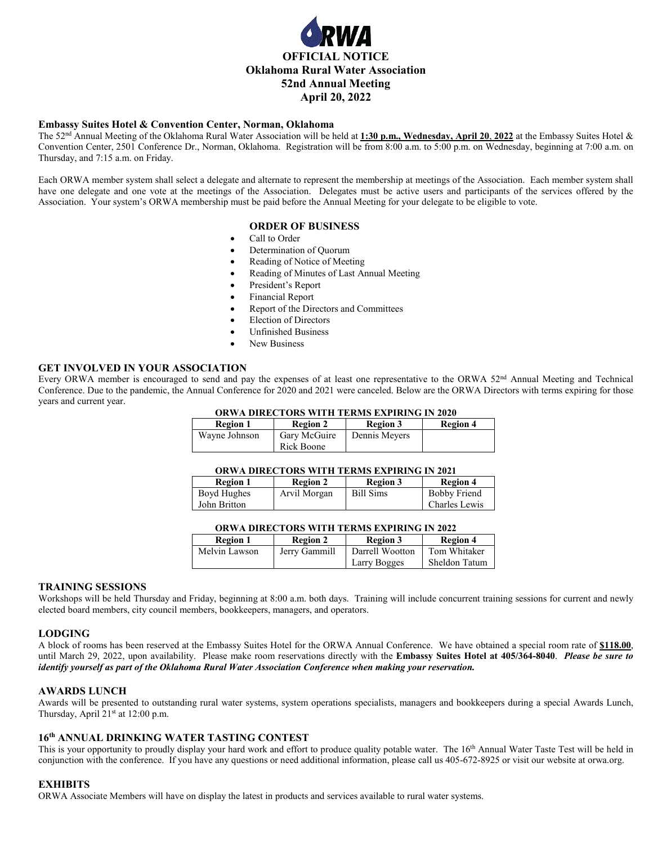

## **Embassy Suites Hotel & Convention Center, Norman, Oklahoma**

The 52nd Annual Meeting of the Oklahoma Rural Water Association will be held at **1:30 p.m., Wednesday, April 20**, **2022** at the Embassy Suites Hotel & Convention Center, 2501 Conference Dr., Norman, Oklahoma. Registration will be from 8:00 a.m. to 5:00 p.m. on Wednesday, beginning at 7:00 a.m. on Thursday, and 7:15 a.m. on Friday.

Each ORWA member system shall select a delegate and alternate to represent the membership at meetings of the Association. Each member system shall have one delegate and one vote at the meetings of the Association. Delegates must be active users and participants of the services offered by the Association. Your system's ORWA membership must be paid before the Annual Meeting for your delegate to be eligible to vote.

# **ORDER OF BUSINESS**

- Call to Order
- Determination of Quorum
- Reading of Notice of Meeting
- Reading of Minutes of Last Annual Meeting
- President's Report
- Financial Report
- Report of the Directors and Committees
- Election of Directors
- Unfinished Business
- New Business

# **GET INVOLVED IN YOUR ASSOCIATION**

Every ORWA member is encouraged to send and pay the expenses of at least one representative to the ORWA 52<sup>nd</sup> Annual Meeting and Technical Conference. Due to the pandemic, the Annual Conference for 2020 and 2021 were canceled. Below are the ORWA Directors with terms expiring for those years and current year.

### **ORWA DIRECTORS WITH TERMS EXPIRING IN 2020**

| <b>Region 1</b> | <b>Region 2</b>            | <b>Region 3</b> | <b>Region 4</b> |
|-----------------|----------------------------|-----------------|-----------------|
| Wayne Johnson   | Gary McGuire<br>Rick Boone | Dennis Meyers   |                 |

#### **ORWA DIRECTORS WITH TERMS EXPIRING IN 2021**

| <b>Region 1</b> | <b>Region 2</b> | <b>Region 3</b> | <b>Region 4</b>     |
|-----------------|-----------------|-----------------|---------------------|
| Boyd Hughes     | Arvil Morgan    | Bill Sims       | <b>Bobby Friend</b> |
| John Britton    |                 |                 | Charles Lewis       |

## **ORWA DIRECTORS WITH TERMS EXPIRING IN 2022**

| <b>Region 1</b> | <b>Region 2</b> | <b>Region 3</b> | <b>Region 4</b> |
|-----------------|-----------------|-----------------|-----------------|
| Melvin Lawson   | Jerry Gammill   | Darrell Wootton | Tom Whitaker    |
|                 |                 | Larry Bogges    | Sheldon Tatum   |

#### **TRAINING SESSIONS**

Workshops will be held Thursday and Friday, beginning at 8:00 a.m. both days. Training will include concurrent training sessions for current and newly elected board members, city council members, bookkeepers, managers, and operators.

# **LODGING**

A block of rooms has been reserved at the Embassy Suites Hotel for the ORWA Annual Conference. We have obtained a special room rate of **\$118.00**, until March 29, 2022, upon availability. Please make room reservations directly with the **Embassy Suites Hotel at 405/364-8040**. *Please be sure to identify yourself as part of the Oklahoma Rural Water Association Conference when making your reservation.*

#### **AWARDS LUNCH**

Awards will be presented to outstanding rural water systems, system operations specialists, managers and bookkeepers during a special Awards Lunch, Thursday, April 21<sup>st</sup> at 12:00 p.m.

# **16th ANNUAL DRINKING WATER TASTING CONTEST**

This is your opportunity to proudly display your hard work and effort to produce quality potable water. The 16<sup>th</sup> Annual Water Taste Test will be held in conjunction with the conference. If you have any questions or need additional information, please call us 405-672-8925 or visit our website at orwa.org.

# **EXHIBITS**

ORWA Associate Members will have on display the latest in products and services available to rural water systems.